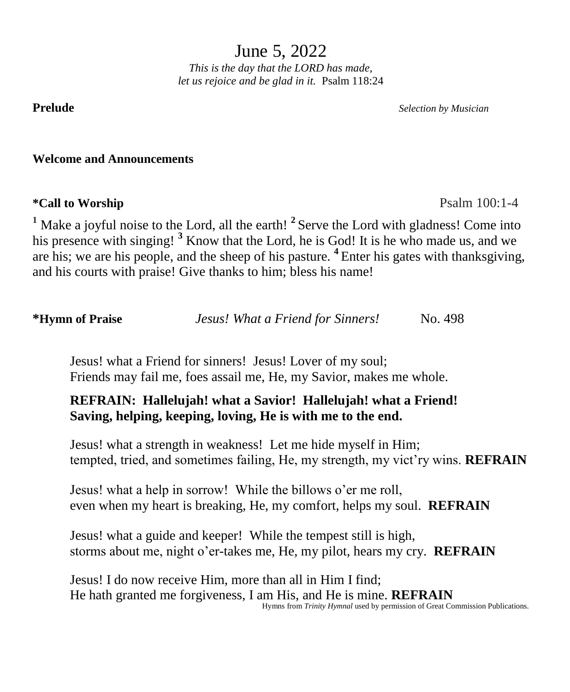June 5, 2022

*This is the day that the LORD has made, let us rejoice and be glad in it.* Psalm 118:24

**Prelude** *Selection by Musician*

**Welcome and Announcements**

# **\*Call to Worship** Psalm 100:1-4

<sup>1</sup> Make a joyful noise to the Lord, all the earth!<sup>2</sup> Serve the Lord with gladness! Come into his presence with singing!<sup>3</sup> Know that the Lord, he is God! It is he who made us, and we are his; we are his people, and the sheep of his pasture. **<sup>4</sup>** Enter his gates with thanksgiving, and his courts with praise! Give thanks to him; bless his name!

**\*Hymn of Praise** *Jesus! What a Friend for Sinners!* No. 498

 Jesus! what a Friend for sinners! Jesus! Lover of my soul; Friends may fail me, foes assail me, He, my Savior, makes me whole.

# **REFRAIN: Hallelujah! what a Savior! Hallelujah! what a Friend! Saving, helping, keeping, loving, He is with me to the end.**

 Jesus! what a strength in weakness! Let me hide myself in Him; tempted, tried, and sometimes failing, He, my strength, my vict'ry wins. **REFRAIN**

 Jesus! what a help in sorrow! While the billows o'er me roll, even when my heart is breaking, He, my comfort, helps my soul. **REFRAIN**

 Jesus! what a guide and keeper! While the tempest still is high, storms about me, night o'er-takes me, He, my pilot, hears my cry. **REFRAIN**

 Jesus! I do now receive Him, more than all in Him I find; He hath granted me forgiveness, I am His, and He is mine. **REFRAIN** Hymns from *Trinity Hymnal* used by permission of Great Commission Publications.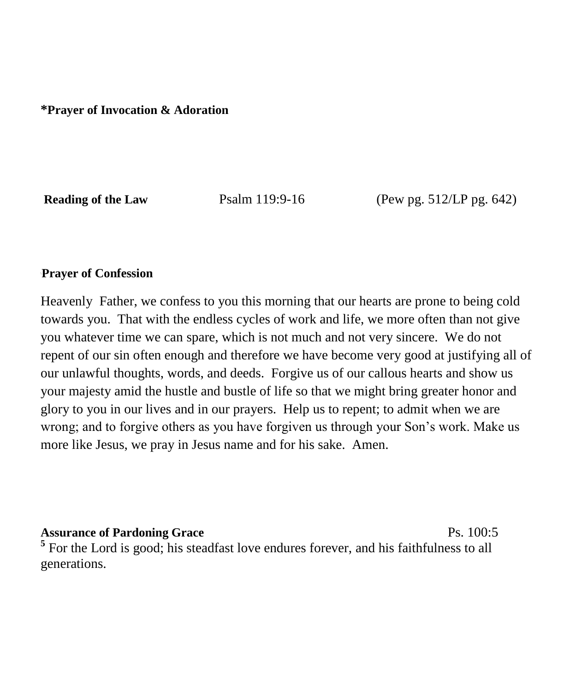**\*Prayer of Invocation & Adoration**

**Reading of the Law** Psalm 119:9-16 (Pew pg. 512/LP pg. 642)

#### \**Prayer of Confession**

Heavenly Father, we confess to you this morning that our hearts are prone to being cold towards you. That with the endless cycles of work and life, we more often than not give you whatever time we can spare, which is not much and not very sincere. We do not repent of our sin often enough and therefore we have become very good at justifying all of our unlawful thoughts, words, and deeds. Forgive us of our callous hearts and show us your majesty amid the hustle and bustle of life so that we might bring greater honor and glory to you in our lives and in our prayers. Help us to repent; to admit when we are wrong; and to forgive others as you have forgiven us through your Son's work. Make us more like Jesus, we pray in Jesus name and for his sake. Amen.

**Assurance of Pardoning Grace** Ps. 100:5 <sup>5</sup> For the Lord is good; his steadfast love endures forever, and his faithfulness to all generations.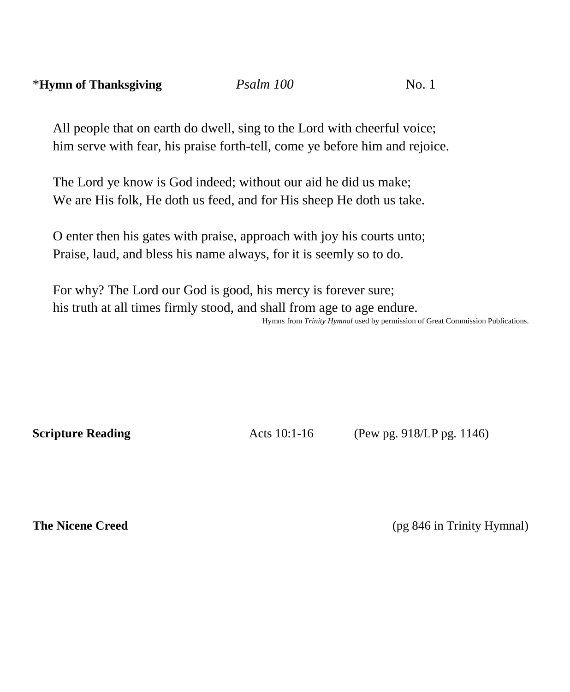All people that on earth do dwell, sing to the Lord with cheerful voice; him serve with fear, his praise forth-tell, come ye before him and rejoice.

The Lord ye know is God indeed; without our aid he did us make; We are His folk, He doth us feed, and for His sheep He doth us take.

O enter then his gates with praise, approach with joy his courts unto; Praise, laud, and bless his name always, for it is seemly so to do.

For why? The Lord our God is good, his mercy is forever sure; his truth at all times firmly stood, and shall from age to age endure. Hymns from *Trinity Hymnal* used by permission of Great Commission Publications. 

**Scripture Reading** Acts 10:1-16 (Pew pg. 918/LP pg. 1146)

**The Nicene Creed** (pg 846 in Trinity Hymnal)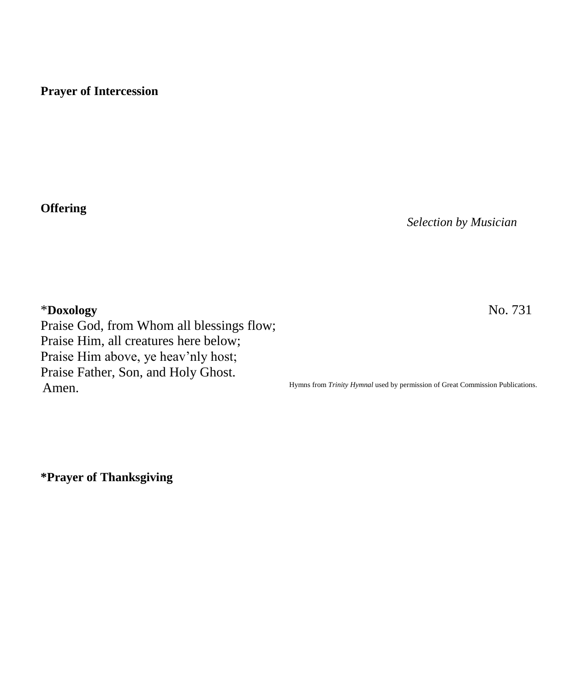# **Prayer of Intercession**

**Offering**

*Selection by Musician*

\***Doxology** No. 731 Praise God, from Whom all blessings flow; Praise Him, all creatures here below; Praise Him above, ye heav'nly host; Praise Father, Son, and Holy Ghost. Amen.

Hymns from *Trinity Hymnal* used by permission of Great Commission Publications.

**\*Prayer of Thanksgiving**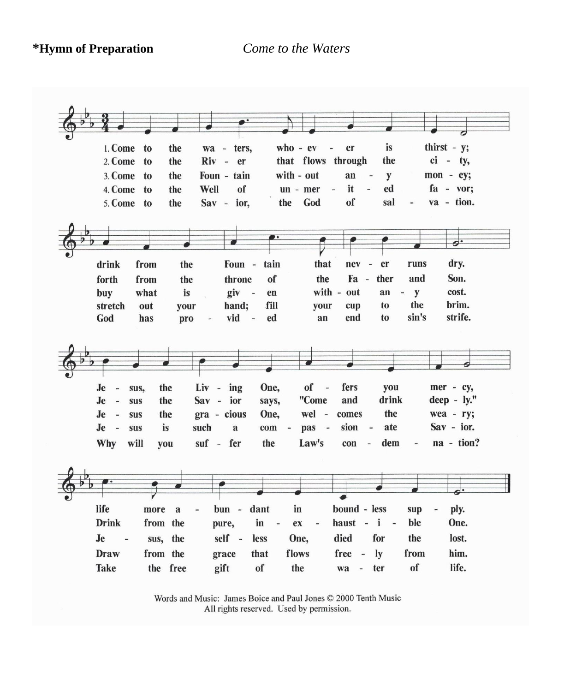**\*Hymn of Preparation** *Come to the Waters*



Words and Music: James Boice and Paul Jones © 2000 Tenth Music All rights reserved. Used by permission.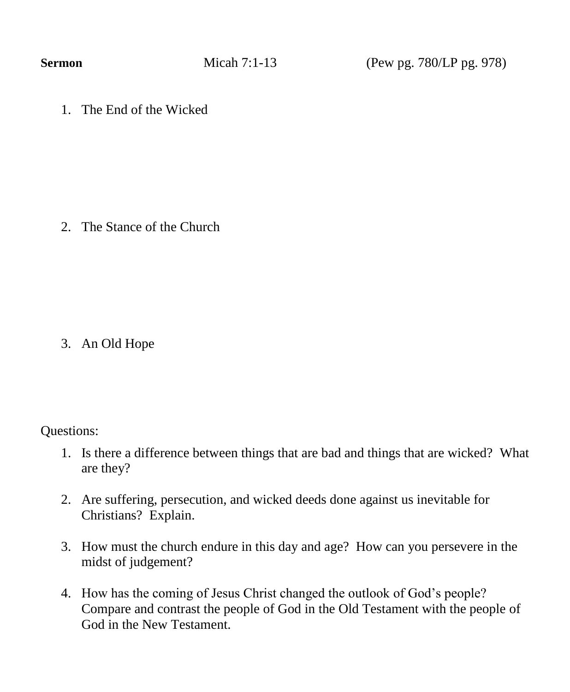**Sermon Micah 7:1-13** (Pew pg. 780/LP pg. 978)

1. The End of the Wicked

2. The Stance of the Church

3. An Old Hope

Questions:

- 1. Is there a difference between things that are bad and things that are wicked? What are they?
- 2. Are suffering, persecution, and wicked deeds done against us inevitable for Christians? Explain.
- 3. How must the church endure in this day and age? How can you persevere in the midst of judgement?
- 4. How has the coming of Jesus Christ changed the outlook of God's people? Compare and contrast the people of God in the Old Testament with the people of God in the New Testament.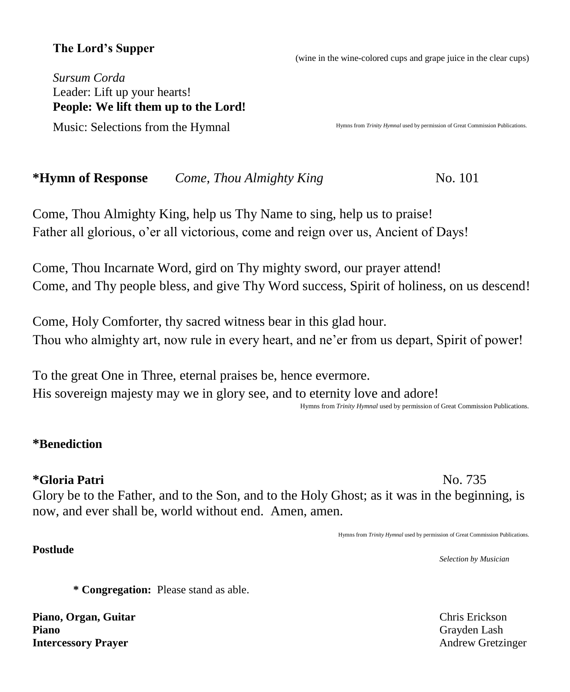# **The Lord's Supper**

(wine in the wine-colored cups and grape juice in the clear cups)

*Sursum Corda* Leader: Lift up your hearts! **People: We lift them up to the Lord!**  Music: Selections from the Hymnal

Hymns from *Trinity Hymnal* used by permission of Great Commission Publications.

**\*Hymn of Response** *Come, Thou Almighty King* No. 101

Come, Thou Almighty King, help us Thy Name to sing, help us to praise! Father all glorious, o'er all victorious, come and reign over us, Ancient of Days!

Come, Thou Incarnate Word, gird on Thy mighty sword, our prayer attend! Come, and Thy people bless, and give Thy Word success, Spirit of holiness, on us descend!

Come, Holy Comforter, thy sacred witness bear in this glad hour. Thou who almighty art, now rule in every heart, and ne'er from us depart, Spirit of power!

To the great One in Three, eternal praises be, hence evermore. His sovereign majesty may we in glory see, and to eternity love and adore!

Hymns from *Trinity Hymnal* used by permission of Great Commission Publications.

### **\*Benediction**

### **\*Gloria Patri** No. 735

**Postlude** 

Glory be to the Father, and to the Son, and to the Holy Ghost; as it was in the beginning, is now, and ever shall be, world without end. Amen, amen.

Hymns from *Trinity Hymnal* used by permission of Great Commission Publications.

*Selection by Musician*

**\* Congregation:** Please stand as able.

**Piano, Organ, Guitar** Chris Erickson **Piano** Grayden Lash **Intercessory Prayer** Andrew Gretzinger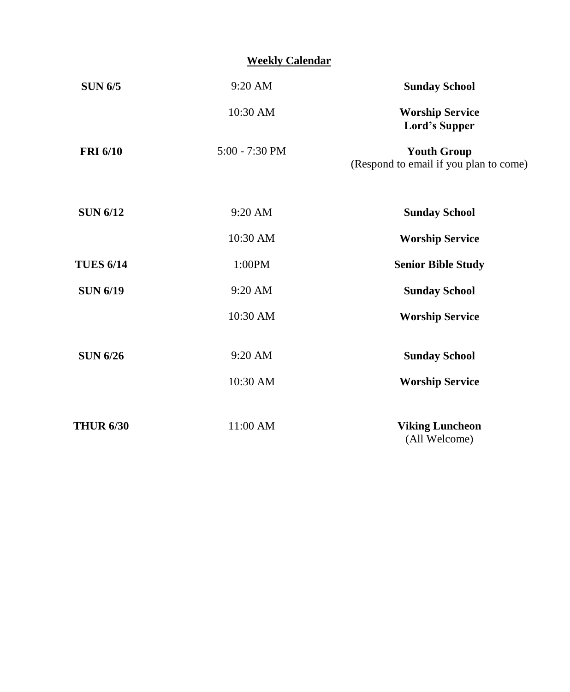### **Weekly Calendar**

| <b>SUN 6/5</b>   | 9:20 AM          | <b>Sunday School</b>                                         |  |  |  |
|------------------|------------------|--------------------------------------------------------------|--|--|--|
|                  | 10:30 AM         | <b>Worship Service</b><br>Lord's Supper                      |  |  |  |
| <b>FRI 6/10</b>  | $5:00 - 7:30$ PM | <b>Youth Group</b><br>(Respond to email if you plan to come) |  |  |  |
| <b>SUN 6/12</b>  | $9:20$ AM        | <b>Sunday School</b>                                         |  |  |  |
|                  | 10:30 AM         | <b>Worship Service</b>                                       |  |  |  |
| <b>TUES 6/14</b> | 1:00PM           | <b>Senior Bible Study</b>                                    |  |  |  |
| <b>SUN 6/19</b>  | 9:20 AM          | <b>Sunday School</b>                                         |  |  |  |
|                  | 10:30 AM         | <b>Worship Service</b>                                       |  |  |  |
| <b>SUN 6/26</b>  | $9:20$ AM        | <b>Sunday School</b>                                         |  |  |  |
|                  | 10:30 AM         | <b>Worship Service</b>                                       |  |  |  |
| <b>THUR 6/30</b> | 11:00 AM         | <b>Viking Luncheon</b><br>(All Welcome)                      |  |  |  |